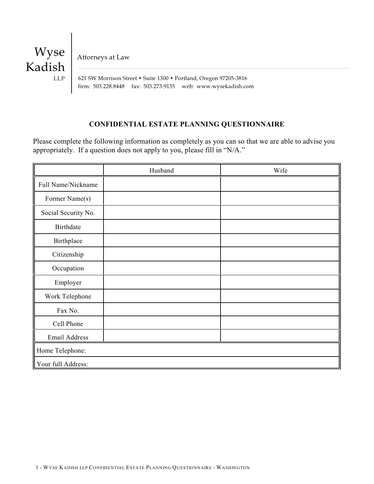

Attorneys at Law

 621 SW Morrison Street • Suite 1300 • Portland, Oregon 97205-3816 firm: 503.228.8448 fax: 503.273.9135 web: www.wysekadish.com

# **CONFIDENTIAL ESTATE PLANNING QUESTIONNAIRE**

Please complete the following information as completely as you can so that we are able to advise you appropriately. If a question does not apply to you, please fill in "N/A."

|                     | Husband | Wife |
|---------------------|---------|------|
| Full Name/Nickname  |         |      |
| Former Name(s)      |         |      |
| Social Security No. |         |      |
| <b>Birthdate</b>    |         |      |
| Birthplace          |         |      |
| Citizenship         |         |      |
| Occupation          |         |      |
| Employer            |         |      |
| Work Telephone      |         |      |
| Fax No.             |         |      |
| Cell Phone          |         |      |
| Email Address       |         |      |
| Home Telephone:     |         |      |
| Your full Address:  |         |      |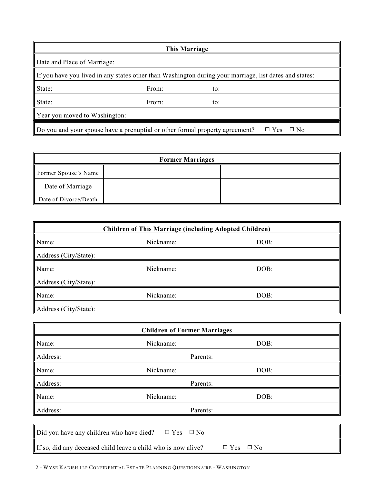|                                                                                                        | <b>This Marriage</b>                                                         |     |                         |
|--------------------------------------------------------------------------------------------------------|------------------------------------------------------------------------------|-----|-------------------------|
| Date and Place of Marriage:                                                                            |                                                                              |     |                         |
| If you have you lived in any states other than Washington during your marriage, list dates and states: |                                                                              |     |                         |
| State:                                                                                                 | From:                                                                        | to: |                         |
| State:                                                                                                 | From:                                                                        | to: |                         |
| Year you moved to Washington:                                                                          |                                                                              |     |                         |
|                                                                                                        | Do you and your spouse have a prenuptial or other formal property agreement? |     | $\Box$ Yes<br>$\Box$ No |

| <b>Former Marriages</b> |  |  |
|-------------------------|--|--|
| Former Spouse's Name    |  |  |
| Date of Marriage        |  |  |
| Date of Divorce/Death   |  |  |

| <b>Children of This Marriage (including Adopted Children)</b> |           |      |  |
|---------------------------------------------------------------|-----------|------|--|
| Name:                                                         | Nickname: | DOB: |  |
| Address (City/State):                                         |           |      |  |
| Name:                                                         | Nickname: | DOB: |  |
| Address (City/State):                                         |           |      |  |
| Name:                                                         | Nickname: | DOB: |  |
| Address (City/State):                                         |           |      |  |

| <b>Children of Former Marriages</b>                              |                                                               |                               |  |  |
|------------------------------------------------------------------|---------------------------------------------------------------|-------------------------------|--|--|
| Name:                                                            | Nickname:                                                     | DOB:                          |  |  |
| Address:                                                         | Parents:                                                      |                               |  |  |
| Name:                                                            | Nickname:                                                     | DOB:                          |  |  |
| Address:                                                         | Parents:                                                      |                               |  |  |
| Name:                                                            | Nickname:                                                     | DOB:                          |  |  |
| Address:                                                         | Parents:                                                      |                               |  |  |
|                                                                  |                                                               |                               |  |  |
| Did you have any children who have died?<br>$\Box$ Yes $\Box$ No |                                                               |                               |  |  |
|                                                                  | If so, did any deceased child leave a child who is now alive? | $\square$ Yes<br>$\square$ No |  |  |

2 - WYSE KADISH LLP CONFIDENTIAL ESTATE PLANNING QUESTIONNAIRE - WASHINGTON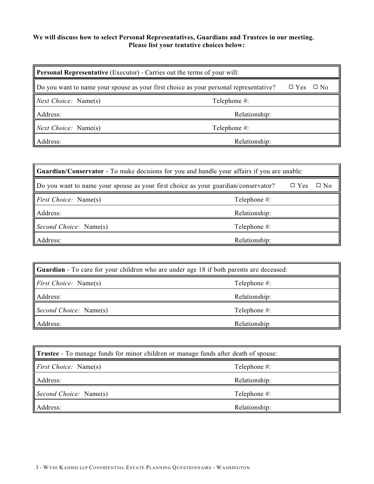## **We will discuss how to select Personal Representatives, Guardians and Trustees in our meeting. Please list your tentative choices below:**

| <b>Personal Representative</b> (Executor) - Carries out the terms of your will:       |               |                         |  |
|---------------------------------------------------------------------------------------|---------------|-------------------------|--|
| Do you want to name your spouse as your first choice as your personal representative? |               | $\Box$ Yes<br>$\Box$ No |  |
| Next Choice: Name(s)                                                                  | Telephone #:  |                         |  |
| Address:                                                                              | Relationship: |                         |  |
| <i>Next Choice:</i> Name(s)                                                           | Telephone #:  |                         |  |
| Address:                                                                              | Relationship: |                         |  |

| <b>Cuardian/Conservator</b> - To make decisions for you and handle your affairs if you are unable: |               |            |           |
|----------------------------------------------------------------------------------------------------|---------------|------------|-----------|
| Do you want to name your spouse as your first choice as your guardian/conservator?                 |               | $\Box$ Yes | $\Box$ No |
| <i>First Choice:</i> Name(s)                                                                       | Telephone #:  |            |           |
| Address:                                                                                           | Relationship: |            |           |
| Second Choice: Name(s)                                                                             | Telephone #:  |            |           |
| Address:                                                                                           | Relationship: |            |           |

| <b>Guardian</b> - To care for your children who are under age 18 if both parents are deceased: |               |  |
|------------------------------------------------------------------------------------------------|---------------|--|
| <i>First Choice:</i> Name(s)                                                                   | Telephone #:  |  |
| Address:                                                                                       | Relationship: |  |
| Second Choice: Name(s)                                                                         | Telephone #:  |  |
| Address:                                                                                       | Relationship: |  |

| <b>Trustee</b> - To manage funds for minor children or manage funds after death of spouse: |               |  |
|--------------------------------------------------------------------------------------------|---------------|--|
| <i>First Choice:</i> Name(s)                                                               | Telephone #:  |  |
| Address:                                                                                   | Relationship: |  |
| Second Choice: Name(s)                                                                     | Telephone #:  |  |
| Address:                                                                                   | Relationship: |  |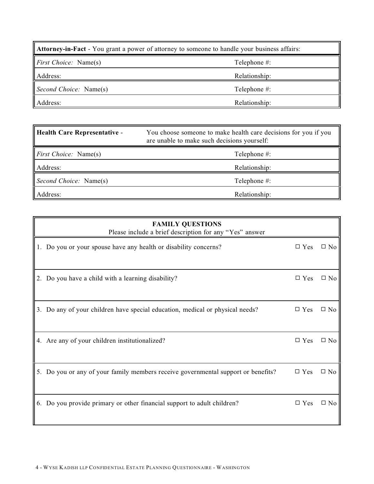| <b>Attorney-in-Fact</b> - You grant a power of attorney to someone to handle your business affairs: |               |  |
|-----------------------------------------------------------------------------------------------------|---------------|--|
| <i>First Choice:</i> Name(s)                                                                        | Telephone #:  |  |
| Address:                                                                                            | Relationship: |  |
| Second Choice: Name(s)                                                                              | Telephone #:  |  |
| Address:                                                                                            | Relationship: |  |

| <b>Health Care Representative -</b> | You choose someone to make health care decisions for you if you<br>are unable to make such decisions yourself: |
|-------------------------------------|----------------------------------------------------------------------------------------------------------------|
| <i>First Choice:</i> Name(s)        | Telephone #:                                                                                                   |
| Address:                            | Relationship:                                                                                                  |
| Second Choice: Name(s)              | Telephone #:                                                                                                   |
| Address:                            | Relationship:                                                                                                  |

| <b>FAMILY QUESTIONS</b><br>Please include a brief description for any "Yes" answer |               |              |
|------------------------------------------------------------------------------------|---------------|--------------|
| 1. Do you or your spouse have any health or disability concerns?                   | $\square$ Yes | $\square$ No |
| 2. Do you have a child with a learning disability?                                 | $\square$ Yes | $\square$ No |
| 3. Do any of your children have special education, medical or physical needs?      | $\square$ Yes | $\square$ No |
| 4. Are any of your children institutionalized?                                     | $\square$ Yes | $\square$ No |
| 5. Do you or any of your family members receive governmental support or benefits?  | $\square$ Yes | $\square$ No |
| 6. Do you provide primary or other financial support to adult children?            | $\Box$ Yes    | $\square$ No |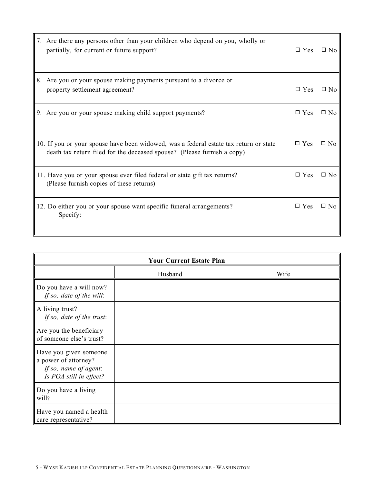| 7. Are there any persons other than your children who depend on you, wholly or<br>partially, for current or future support?                                      | $\square$ Yes | $\Box$ No    |
|------------------------------------------------------------------------------------------------------------------------------------------------------------------|---------------|--------------|
| 8. Are you or your spouse making payments pursuant to a divorce or<br>property settlement agreement?                                                             | $\Box$ Yes    | $\square$ No |
| 9. Are you or your spouse making child support payments?                                                                                                         | $\Box$ Yes    | $\square$ No |
| 10. If you or your spouse have been widowed, was a federal estate tax return or state<br>death tax return filed for the deceased spouse? (Please furnish a copy) | $\square$ Yes | $\Box$ No    |
| 11. Have you or your spouse ever filed federal or state gift tax returns?<br>(Please furnish copies of these returns)                                            | $\square$ Yes | $\Box$ No    |
| 12. Do either you or your spouse want specific funeral arrangements?<br>Specify:                                                                                 | $\Box$ Yes    | $\Box$ No    |

| <b>Your Current Estate Plan</b>                                                                    |         |      |  |  |
|----------------------------------------------------------------------------------------------------|---------|------|--|--|
|                                                                                                    | Husband | Wife |  |  |
| Do you have a will now?<br>If so, date of the will:                                                |         |      |  |  |
| A living trust?<br>If so, date of the trust:                                                       |         |      |  |  |
| Are you the beneficiary<br>of someone else's trust?                                                |         |      |  |  |
| Have you given someone<br>a power of attorney?<br>If so, name of agent:<br>Is POA still in effect? |         |      |  |  |
| Do you have a living<br>will?                                                                      |         |      |  |  |
| Have you named a health<br>care representative?                                                    |         |      |  |  |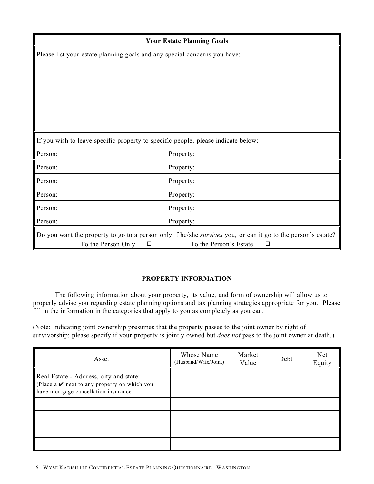|                                                                                                              | <b>Your Estate Planning Goals</b>                                                 |  |  |
|--------------------------------------------------------------------------------------------------------------|-----------------------------------------------------------------------------------|--|--|
|                                                                                                              | Please list your estate planning goals and any special concerns you have:         |  |  |
|                                                                                                              |                                                                                   |  |  |
|                                                                                                              |                                                                                   |  |  |
|                                                                                                              |                                                                                   |  |  |
|                                                                                                              |                                                                                   |  |  |
|                                                                                                              |                                                                                   |  |  |
|                                                                                                              |                                                                                   |  |  |
|                                                                                                              | If you wish to leave specific property to specific people, please indicate below: |  |  |
| Person:                                                                                                      | Property:                                                                         |  |  |
| Person:                                                                                                      | Property:                                                                         |  |  |
| Person:                                                                                                      | Property:                                                                         |  |  |
| Person:                                                                                                      | Property:                                                                         |  |  |
| Person:                                                                                                      | Property:                                                                         |  |  |
| Person:                                                                                                      | Property:                                                                         |  |  |
| Do you want the property to go to a person only if he/she survives you, or can it go to the person's estate? |                                                                                   |  |  |
| To the Person Only<br>To the Person's Estate<br>$\Box$<br>$\Box$                                             |                                                                                   |  |  |

# **PROPERTY INFORMATION**

The following information about your property, its value, and form of ownership will allow us to properly advise you regarding estate planning options and tax planning strategies appropriate for you. Please fill in the information in the categories that apply to you as completely as you can.

(Note: Indicating joint ownership presumes that the property passes to the joint owner by right of survivorship; please specify if your property is jointly owned but *does not* pass to the joint owner at death.)

| Asset                                                                                                                                | Whose Name<br>(Husband/Wife/Joint) | Market<br>Value | Debt | Net<br>Equity |
|--------------------------------------------------------------------------------------------------------------------------------------|------------------------------------|-----------------|------|---------------|
| Real Estate - Address, city and state:<br>(Place a $\vee$ next to any property on which you<br>have mortgage cancellation insurance) |                                    |                 |      |               |
|                                                                                                                                      |                                    |                 |      |               |
|                                                                                                                                      |                                    |                 |      |               |
|                                                                                                                                      |                                    |                 |      |               |
|                                                                                                                                      |                                    |                 |      |               |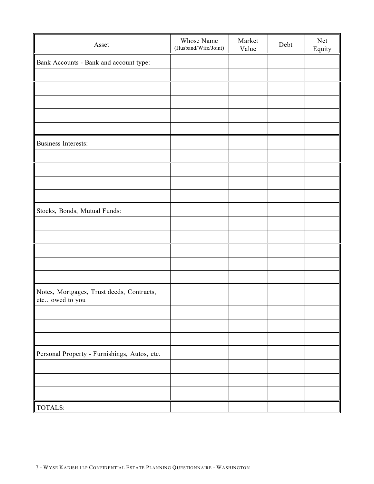| Asset                                                          | Whose Name<br>(Husband/Wife/Joint) | Market<br>Value | Debt | Net<br>Equity |
|----------------------------------------------------------------|------------------------------------|-----------------|------|---------------|
| Bank Accounts - Bank and account type:                         |                                    |                 |      |               |
|                                                                |                                    |                 |      |               |
|                                                                |                                    |                 |      |               |
|                                                                |                                    |                 |      |               |
|                                                                |                                    |                 |      |               |
|                                                                |                                    |                 |      |               |
| <b>Business Interests:</b>                                     |                                    |                 |      |               |
|                                                                |                                    |                 |      |               |
|                                                                |                                    |                 |      |               |
|                                                                |                                    |                 |      |               |
|                                                                |                                    |                 |      |               |
| Stocks, Bonds, Mutual Funds:                                   |                                    |                 |      |               |
|                                                                |                                    |                 |      |               |
|                                                                |                                    |                 |      |               |
|                                                                |                                    |                 |      |               |
|                                                                |                                    |                 |      |               |
|                                                                |                                    |                 |      |               |
| Notes, Mortgages, Trust deeds, Contracts,<br>etc., owed to you |                                    |                 |      |               |
|                                                                |                                    |                 |      |               |
|                                                                |                                    |                 |      |               |
|                                                                |                                    |                 |      |               |
| Personal Property - Furnishings, Autos, etc.                   |                                    |                 |      |               |
|                                                                |                                    |                 |      |               |
|                                                                |                                    |                 |      |               |
|                                                                |                                    |                 |      |               |
| TOTALS:                                                        |                                    |                 |      |               |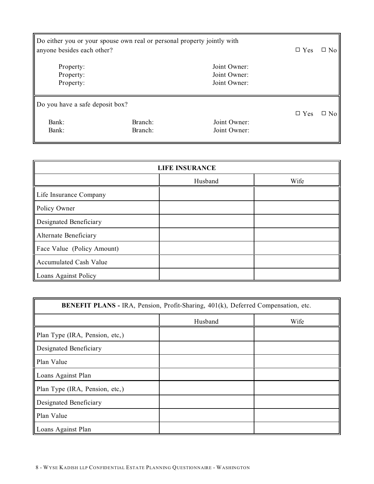| Do either you or your spouse own real or personal property jointly with<br>anyone besides each other? | $\Box$ Yes         | $\Box$ No                    |               |           |
|-------------------------------------------------------------------------------------------------------|--------------------|------------------------------|---------------|-----------|
| Property:                                                                                             |                    | Joint Owner:                 |               |           |
| Property:                                                                                             |                    | Joint Owner:                 |               |           |
| Property:                                                                                             |                    | Joint Owner:                 |               |           |
| Do you have a safe deposit box?<br>Bank:<br>Bank:                                                     | Branch:<br>Branch: | Joint Owner:<br>Joint Owner: | $\square$ Yes | $\Box$ No |

| <b>LIFE INSURANCE</b>         |         |      |  |
|-------------------------------|---------|------|--|
|                               | Husband | Wife |  |
| Life Insurance Company        |         |      |  |
| Policy Owner                  |         |      |  |
| Designated Beneficiary        |         |      |  |
| Alternate Beneficiary         |         |      |  |
| Face Value (Policy Amount)    |         |      |  |
| <b>Accumulated Cash Value</b> |         |      |  |
| Loans Against Policy          |         |      |  |

| <b>BENEFIT PLANS - IRA, Pension, Profit-Sharing, 401(k), Deferred Compensation, etc.</b> |         |      |  |  |
|------------------------------------------------------------------------------------------|---------|------|--|--|
|                                                                                          | Husband | Wife |  |  |
| Plan Type (IRA, Pension, etc,)                                                           |         |      |  |  |
| Designated Beneficiary                                                                   |         |      |  |  |
| Plan Value                                                                               |         |      |  |  |
| Loans Against Plan                                                                       |         |      |  |  |
| Plan Type (IRA, Pension, etc,)                                                           |         |      |  |  |
| Designated Beneficiary                                                                   |         |      |  |  |
| Plan Value                                                                               |         |      |  |  |
| Loans Against Plan                                                                       |         |      |  |  |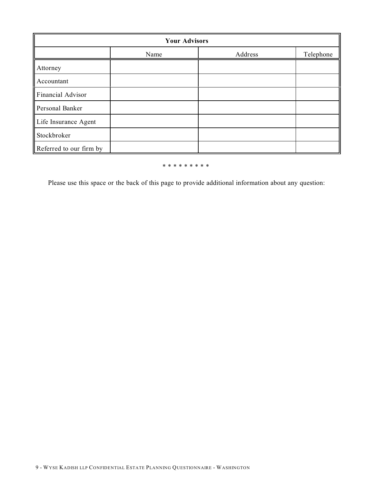| <b>Your Advisors</b>    |      |         |           |  |  |
|-------------------------|------|---------|-----------|--|--|
|                         | Name | Address | Telephone |  |  |
| Attorney                |      |         |           |  |  |
| Accountant              |      |         |           |  |  |
| Financial Advisor       |      |         |           |  |  |
| Personal Banker         |      |         |           |  |  |
| Life Insurance Agent    |      |         |           |  |  |
| Stockbroker             |      |         |           |  |  |
| Referred to our firm by |      |         |           |  |  |

#### \* \* \* \* \* \* \* \* \*

Please use this space or the back of this page to provide additional information about any question: